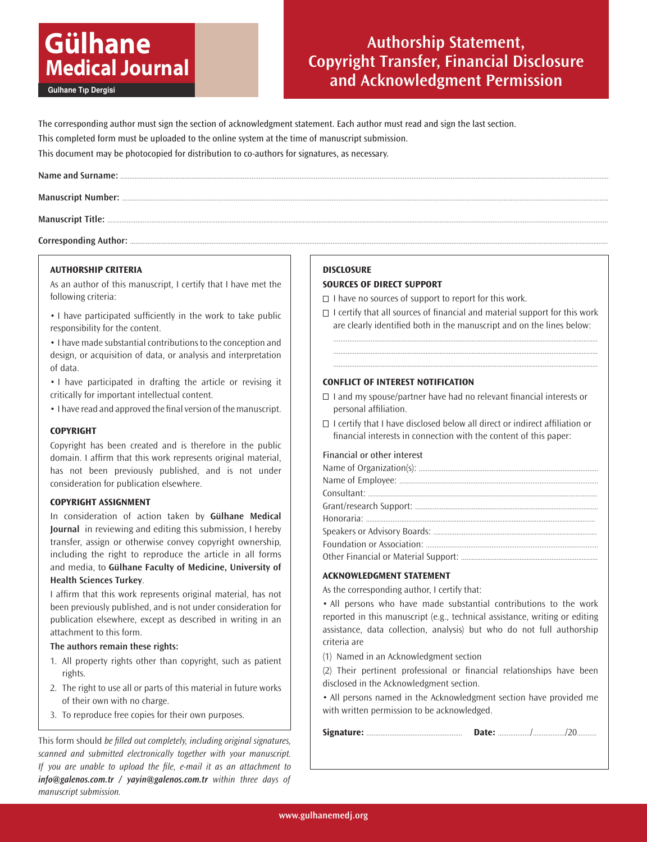# **Gülhane Medical Journal**

Gulhane Tıp Dergisi

# **Authorship Statement, Copyright Transfer, Financial Disclosure and Acknowledgment Permission**

The corresponding author must sign the section of acknowledgment statement. Each author must read and sign the last section. This completed form must be uploaded to the online system at the time of manuscript submission. This document may be photocopied for distribution to co-authors for signatures, as necessary.

Corresponding Author: .......

# **AUTHORSHIP CRITERIA**

As an author of this manuscript, I certify that I have met the following criteria:

• I have participated sufficiently in the work to take public responsibility for the content.

• I have made substantial contributions to the conception and design, or acquisition of data, or analysis and interpretation of data.

• I have participated in drafting the article or revising it critically for important intellectual content.

• I have read and approved the final version of the manuscript.

# **COPYRIGHT**

Copyright has been created and is therefore in the public domain. I affirm that this work represents original material, has not been previously published, and is not under consideration for publication elsewhere.

# **COPYRIGHT ASSIGNMENT**

In consideration of action taken by **Gülhane Medical Journal** in reviewing and editing this submission, I hereby transfer, assign or otherwise convey copyright ownership, including the right to reproduce the article in all forms and media, to **Gülhane Faculty of Medicine, University of Health Sciences Turkey**.

I affirm that this work represents original material, has not been previously published, and is not under consideration for publication elsewhere, except as described in writing in an attachment to this form.

# **The authors remain these rights:**

- 1. All property rights other than copyright, such as patient rights.
- 2. The right to use all or parts of this material in future works of their own with no charge.
- 3. To reproduce free copies for their own purposes.

This form should be filled out completely, including original signatures, scanned and submitted electronically together with your manuscript. If you are unable to upload the file, e-mail it as an attachment to *info@galenos.com.tr / yayin@galenos.com.tr* within three days of manuscript submission.

# **DISCLOSURE**

# **SOURCES OF DIRECT SUPPORT**

 $\Box$  I have no sources of support to report for this work.

 $\Box$  I certify that all sources of financial and material support for this work are clearly identified both in the manuscript and on the lines below:

..................................................................................................................................................... ..................................................................................................................................................... .....................................................................................................................................................

# **CONFLICT OF INTEREST NOTIFICATION**

- $\Box$  I and my spouse/partner have had no relevant financial interests or personal affiliation.
- $\Box$  I certify that I have disclosed below all direct or indirect affiliation or financial interests in connection with the content of this paper:

#### Financial or other interest

# **ACKNOWLEDGMENT STATEMENT**

As the corresponding author, I certify that:

• All persons who have made substantial contributions to the work reported in this manuscript (e.g., technical assistance, writing or editing assistance, data collection, analysis) but who do not full authorship criteria are

(1) Named in an Acknowledgment section

(2) Their pertinent professional or financial relationships have been disclosed in the Acknowledgment section.

• All persons named in the Acknowledgment section have provided me with written permission to be acknowledged.

**Signature:** ...................................................... **Date:** ................../................../20...........